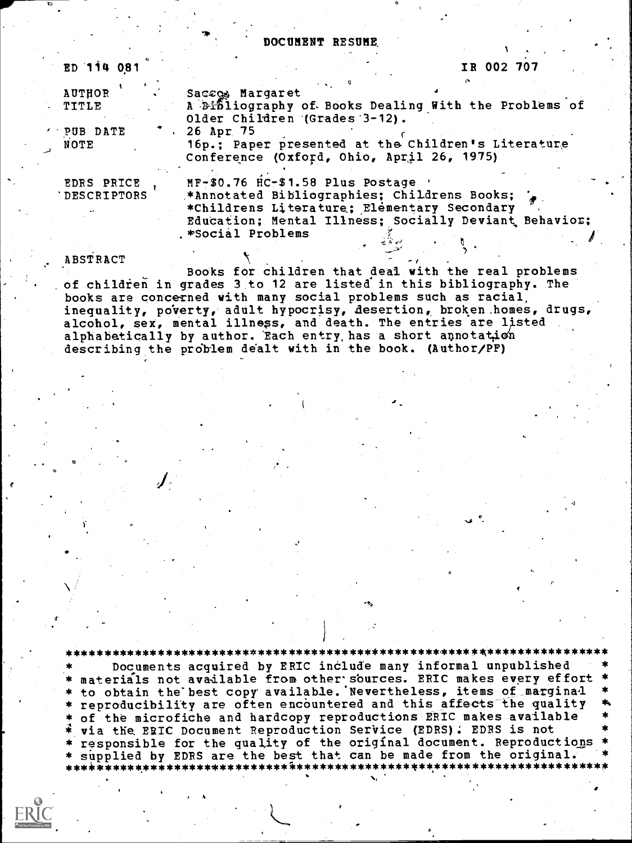DOCUMENT RESUME

tion of the second second second second second second second second second second second second second second second second second second second second second second second second second second second second second second

Version in 1990

| ED 114 081                | IR 002 707                                                                                                                                                                              |
|---------------------------|-----------------------------------------------------------------------------------------------------------------------------------------------------------------------------------------|
| <b>AUTHOR</b>             | Saccos Margaret                                                                                                                                                                         |
| . TITLE                   | A Dibliography of Books Dealing With the Problems of<br>Older Children (Grades 3-12).                                                                                                   |
| ' PUB DATE                | 26 Apr 75                                                                                                                                                                               |
| NOTE                      | 16p.; Paper presented at the Children's Literature<br>Conference (Oxford, Ohio, April 26, 1975)                                                                                         |
| EDRS PRICE<br>DESCRIPTORS | MF-\$0.76 HC-\$1.58 Plus Postage<br>*Annotated Bibliographies; Childrens Books;<br>*Childrens Literature; Elementary Secondary<br>Education; Mental Illness; Socially Deviant Behavior; |
| ABSTRACT                  | .*Social Problems                                                                                                                                                                       |

Books for children that deal with the real problems of children in grades 3 to 12 are listed in this bibliography. The books are concerned with many social problems such as racial, inequality, po'verty, adult hypocrisy, Aesertion, broken .homes, drugs, alcohol, sex, mental illness, and death. The entries are listed alphabetically by author. Each entry, has a short annotation describing the problem dealt with in the book. (Author/PF)

\*\*\*\*\*\*\*\*\*\*\*\*\*\*\*\*\*\*\*\*\*\*\*\*\*\*\*\*\*\*\*\*\*\*\*\*\*\*\*\*\*\*\*\*\*\*\*\*\*4\*\*\*\*\*\*\*\*\*\*\*\*\*\*\*\*\*\*\*\*\* Documents acquired by ERIC include many informal unpublished \* materials not available from other sources. ERIC makes every effort \*  $\;$ \* to obtain the best copy available. Nevertheless, items of marginal \* \* \* of the microfiche and hardcopy reproductions ERIC makes available via the ERIC Document Reproduction Service (EDRS) : EDRS is not responsible for the quality of the original document. Reproductions \* supplied by EDRS are the best that can be made from the original. \* \*\*\*.ic\*\*\*\*\*\*.\*\*\*\*\*\*\*\*\*\*\*\*\*\*\*\*\*\*\*1.\*\*\*\*\*\*\*\*\*\*\*\*\*\*\*\*\*\*.\*\*\*\*\*\*\*\*\*\*\*\*\*\*\*\*\*\*\*\*\*\*\*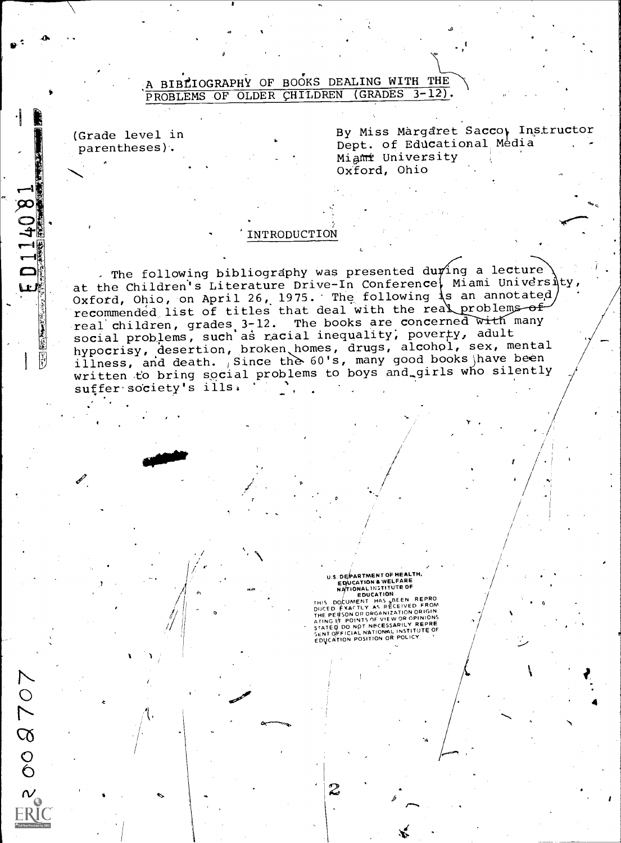## A BIBLIOGRAPHY OF BOOKS DEALING WITH THE PROBLEMS OF OLDER CHILDREN (GRADES 3-12).

(Grade level in parentheses).

 $\circ$ 

 $\overline{c}$ 

 $\begin{matrix}0\\0\end{matrix}$ 

 $\sum_{i=1}^n \frac{1}{i!}$ 

 $\sim$   $\sim$ 

 $\bullet$   $\cdot$   $\cdot$ 

 $E D 114081$ 

[3]<br>[3]

By Miss Margaret Sacco, Instructor Dept. of Educational Media Migmr University Oxford, Ohio

## 'INTRODUCTION

The following bibliography was presented during a lecture at the Children's Literature Drive-In Conference, Miami University, Oxford, Ohio, on April 26, 1975. The following s an annotated recommended list of titles that deal with the real problems of real children, grades 3-12. The books are concerned with many social problems, such as racial inequality, poverty, adult hypocrisy, desertion, broken homes, drugs, alcohol, sex, mental illness, and death. Since the 60's, many good books have been written to bring social problems to boys and girls who silently suffer society's ills.

## U.S. DEPARTMENT OF HEALTH,<br>EDUCATION & WELFARE<br>NATIONAL INSTITUTE OF<br>ALTHROUGATION

L

THIS DOCUMENT HAS BEEN REPROM<br>DISCED EXACTLY AS RECEIVED FROM<br>THE PERSON OR ORGANIZATION ORIGIN<br>AFING IT POINTS OF VIEW OR OPINIONS<br>STATEP DO NOT NECESSARILY REPRE STATE OF FICIAL NATIONAL INSTITUTE OF<br>SENT OFFICIAL NATION OR POLICY

k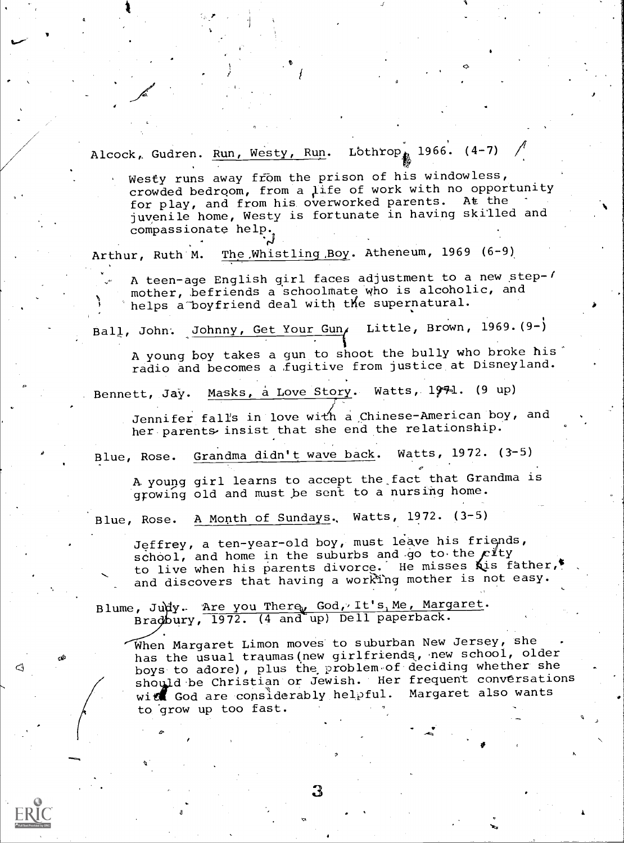Alcock, Gudren. Run, Westy, Run. Lothrop, 1966. (4-7)

Westy runs away from the prison of his windowless, crowded bedroom, from a ilife of work with no opportunity for play, and from his overworked parents. At the juvenile home, Westy is fortunate in having skilled and compassionate help

Arthur, Ruth M. The Whistling Boy. Atheneum, 1969 (6-9)

A teen-age English girl faces adjustment to a new step- $\ell$ mother, befriends a schoolmate who is alcoholic, and helps a boyfriend deal with the supernatural.

Ball, John. Johnny, Get Your Gun, Little, Brown, 1969.(9-)

A young boy takes a gun to shoot the bully who broke his radio and becomes a fugitive from justice at Disneyland.

Bennett, Jay. Masks, a Love Story. Watts, 1971. (9 up)

Jennifer falls in love with a Chinese-American boy, and her parents insist that she end the relationship.

Blue, Rose. Grandma didn't wave back. Watts, 1972. (3-5)

A. young girl learns to accept the\_fact that Grandma is growing old and must be sent to a nursing home.

Blue, Rose. A Month of Sundays, Watts, 1972. (3-5)

Jeffrey, a ten-year-old boy, must leave his friends, school, and home in the suburbs and go to the  $c$ Ity to live when his parents divorce. He misses Kis father, and discovers that having a working mother is not easy.

Blume, Judy. Are you There, God, It's, Me, Margaret. Bradbury, 1972. (4 and up) Dell paperback.

4ج

When Margaret Limon moves to suburban New Jersey, she has the usual traumas (new girlfriends, new school, older boys to adore), plus the problem of deciding whether she should be Christian or Jewish. Her frequent conversations wit God are considerably helpful. Margaret also wants to grow up too fast.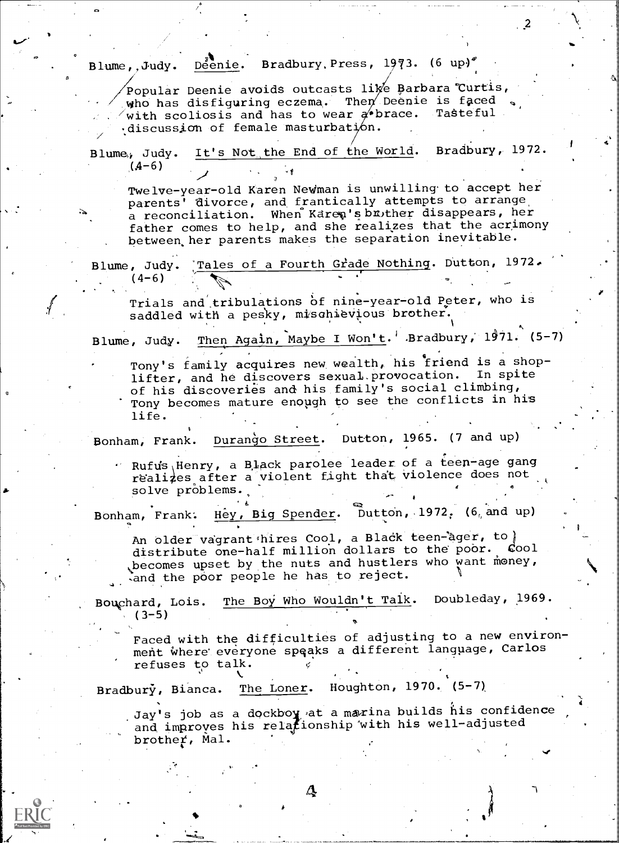Blume,, Judy. Deenie. Bradbury, Press, 1973. (6 up)<sup> $\ell$ </sup>

 $\sim$ 

 $^{2}$ 

-.. 4

Popular Deenie avoids outcasts li $\not\!\!\mathscr{C}$  Barbara Curtis, who has disfiguring eczema. Then Deenie is faced with scoliosis and has to wear  $a^{\prime}$ brace. Tasteful  $\cdot$ discussion of female masturbation.

Blume, Judy. It's Not the End of the World. Bradbury, 1972.  $(4-6)$ 

Twelve-year-old Karen Newman is unwilling to accept her parents<sup>1</sup> divorce, and frantically attempts to arrange a reconciliation. When Karen's brother disappears, her father comes to help, and she realizes that the acrimony between, her parents makes the separation inevitable.

Blume, Judy. Tales of a Fourth Grade Nothing. Dutton, 1972.  $(4-6)$ 

Trials and tribulations of nine-year-old Peter, who is saddled with a pesky, mischievious brother.

1

Blume, Judy. <u>Then Again, Maybe I Won't</u>.' Bradbury, 1971. (5-7)

Tony's family acquires new wealth, his friend is a shoplifter, and he discovers sexual.provocation. In spite of his discoveries and his family's social climbing, Tony becomes mature enough to see the conflicts in his life.

Bonham, Frank. Durango Street. Dutton, 1965. (7 and up)

 $\cdot$  Rufus Henry, a Black parolee leader of a teen-age gang reali4es after a violent fight that violence does not solve problems.

Bonham, Frank. Hey, Big Spender. Dutton, 1972, (6, and up)

An older vagrant hires Cool, a Black teen-ager, to  $\begin{pmatrix} 1 & 0 & 0 \\ 0 & 0 & 0 \\ 0 & 0 & 0 \end{pmatrix}$ distribute one-half million dollars to the poor. , becomes upset by the nuts and hustlers who want money, .and the poor people he has to reject.

Bouchard, Lois. The Boy Who Wouldn't Talk. Doubleday, 1969.  $(3-5)$ 

Faced with the difficulties of adjusting to a new environment where' everyone spqaks a different language, Carlos refuses to talk. <sup>&</sup>lt;

Houghton,  $1970. (5-7)$ Bradbury, Bianca. The Loner.

 $\Delta$ 

 $\int$  Jay's job as a dockboy at a marina builds his confidence  $\int$ and improves his relationship with his well-adjusted brother, Mal.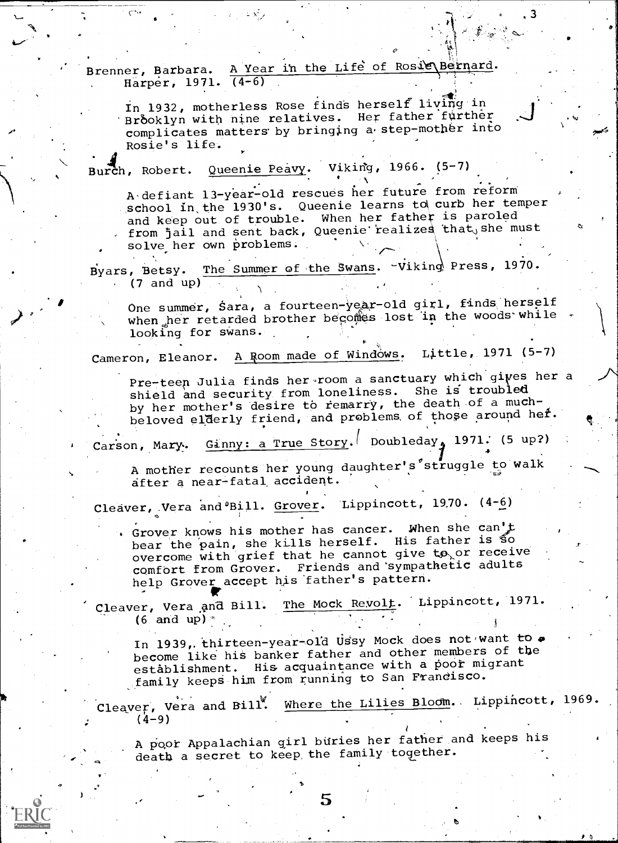Brenner, Barbara. A Year in the Life of Rosig Bernard. Harper, 1971. (4-6)

In 1932, motherless Rose finds herself living in Brooklyn with nine relatives. Her father further complicates matters by bringing a step-mother into Rosie's life.

rch, Robert. Queenie Peavy. Viking, 1966. (5-7)

A defiant 13-year-old rescues her future from reform school in the 1930's. Queenie learns to curb her temper and keep out of trouble. When her father is paroled from jail and sent back, Queenie realizes that, she must solve her own problems.  $\leftarrow$   $\leftarrow$   $\leftarrow$   $\leftarrow$   $\leftarrow$   $\leftarrow$   $\leftarrow$   $\leftarrow$   $\leftarrow$   $\leftarrow$   $\leftarrow$   $\leftarrow$   $\leftarrow$   $\leftarrow$   $\leftarrow$   $\leftarrow$   $\leftarrow$   $\leftarrow$   $\leftarrow$   $\leftarrow$   $\leftarrow$   $\leftarrow$   $\leftarrow$   $\leftarrow$   $\leftarrow$   $\leftarrow$   $\leftarrow$   $\leftarrow$   $\leftarrow$   $\leftarrow$   $\leftarrow$   $\leftarrow$   $\leftarrow$   $\leftarrow$   $\leftarrow$   $\leftarrow$   $\leftarrow$ 

 $, 71$ 

Byars, Betsy. The Summer of the Swans. Viking Press, 1970. (7 and up)

One summer, Sara, a fourteen-year-old girl, finds herself when her retarded brother becomes lost in the woods while  $\cdot$ looking for swans.

Cameron, Eleanor. A Room made of Windows. Little, 1971 (5-7)

Pre-teen Julia finds her room a sanctuary which gives her a shield and security from loneliness. She is troubled by her mother's desire to remarry, the death of a muchbeloved elderly friend, and problems of those around hef.

Carson, Mary. Ginny: a True Story. Doubleday, 1971. (5 up?)

A mother recounts her young daughter's struggle to walk after a near-fatal accident.

Cleaver, Vera and <sup>8</sup>Bill. Grover. Lippincott, 1970. (4-6)

Grover knows his mother has cancer. When she can't bear the pain, she kills herself. His father is So overcome with grief that he cannot give  $t\mathbf{\hat{o}}_{\times}$  or receive comfort from Grover. Friends and sympathetic adults help Grover accept his 'father's pattern.

**Pt** in the second second  $\mathbf{r}$ Cleaver, Vera and Bill. The Mock Revolt. Lippincott, 1971. (6 and up)  $*$ 

In 1939, thirteen-year-old Ussy Mock does not want to . become like his banker father and other members of the establishment. His acquaintance with a poor migrant family keeps him from running to San Frandisco.

Cleaver, Vera and Bill. Where the Lilies Bloom. Lippincott, 1969.  $(4-9)$ 

A poor Appalachian girl buries her father and keeps his death a secret to keep the family together.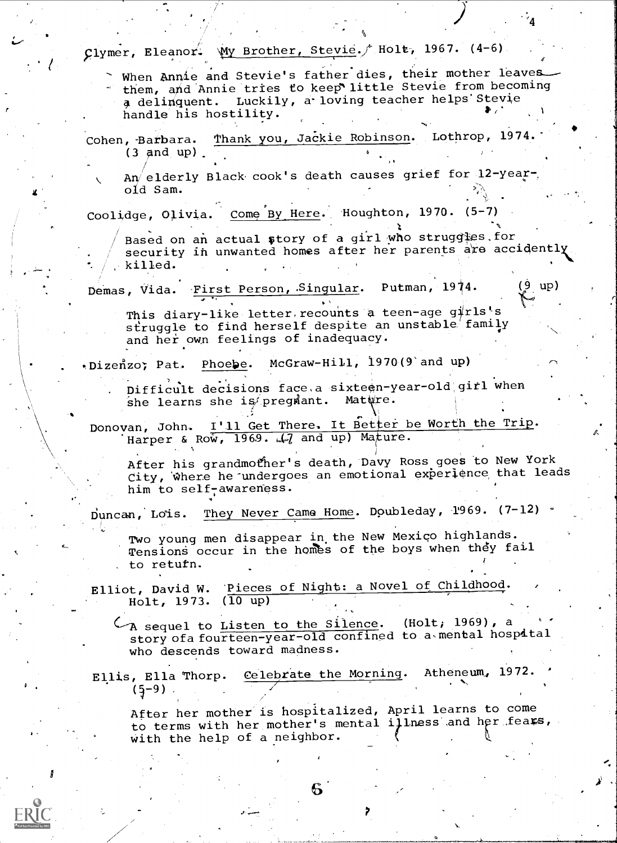| Clymer, Eleanor. My Brother, Stevie. Holt, 1967. (4-6)                                                                                                                                                 |                 |
|--------------------------------------------------------------------------------------------------------------------------------------------------------------------------------------------------------|-----------------|
| When Annie and Stevie's father dies, their mother leaves<br>them, and Annie tries to keep little Stevie from becoming<br>a delinquent. Luckily, a loving teacher helps Stevie<br>handle his hostility. |                 |
| Thank you, Jackie Robinson. Lothrop, 1974.<br>Cohen, Barbara.<br>$(3 \text{ and } \text{up})$ .                                                                                                        |                 |
| An elderly Black cook's death causes grief for 12-year-<br>old Sam.                                                                                                                                    |                 |
| Coolidge, Olivia. Come By Here. Houghton, 1970. (5-7)                                                                                                                                                  |                 |
| Based on an actual story of a girl who struggles for<br>security in unwanted homes after her parents are accidently.<br>killed.                                                                        |                 |
| Demas, Vida. First Person, Singular. Putman, 1974.                                                                                                                                                     | (9 up)          |
| This diary-like letter recounts a teen-age girls's<br>struggle to find herself despite an unstable family<br>and her own feelings of inadequacy.                                                       |                 |
| . Dizenzo; Pat. Phoebe. McGraw-Hill, 1970(9 and up)                                                                                                                                                    |                 |
| Difficult decisions face a sixteen-year-old girl when<br>she learns she is pregmant. Matwre.<br>Donovan, John. I'll Get There. It Better be Worth the Trip.<br>Harper & Row, 1969. 47 and up) Mature.  |                 |
| After his grandmother's death, Davy Ross goes to New York<br>City, where he undergoes an emotional experience that leads<br>him to self-awareness.                                                     |                 |
| They Never Came Home. Doubleday, 1969. (7-12) .<br>Duncan, Lois.                                                                                                                                       |                 |
| Two young men disappear in the New Mexico highlands.<br>Tensions occur in the homes of the boys when they fail<br>to retufn.                                                                           |                 |
| Elliot, David W. Pieces of Night: a Novel of Childhood.<br>Holt, 1973. $(\overline{10 \text{ up}})$                                                                                                    |                 |
| A sequel to Listen to the Silence.<br>story of a fourteen-year-old confined to a mental hospital<br>who descends toward madness.                                                                       | (Holt, 1969), a |
| Celebrate the Morning. Atheneum, 1972.<br>Ellis, Ella Thorp.<br>$(5-9)$                                                                                                                                |                 |
| After her mother is hospitalized, April learns to come<br>to terms with her mother's mental illness and her fears,<br>with the help of a neighbor.                                                     |                 |
|                                                                                                                                                                                                        |                 |

 $\sqrt{2}$ 

 $ERIC$ 

÷,

 $\mathbf{e}$ .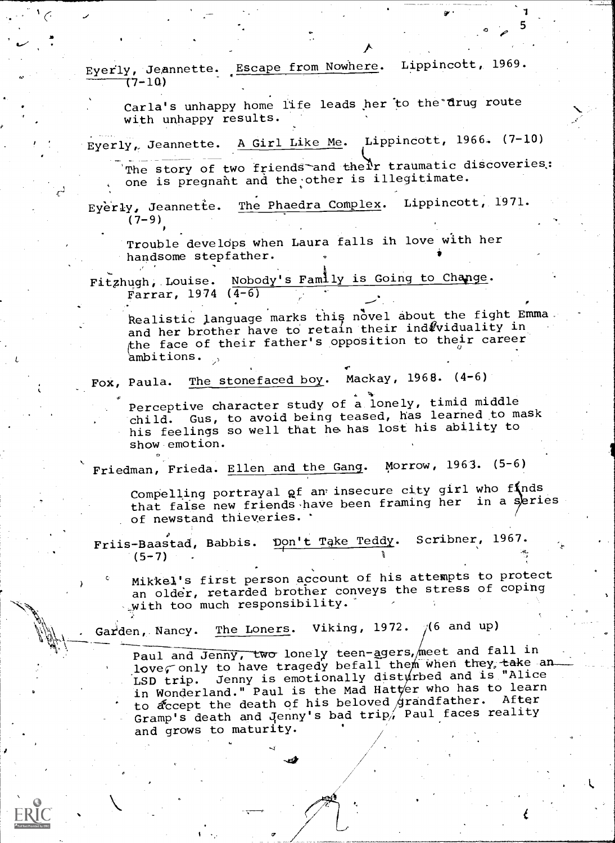Eyerly, Jeannette. Escape from Nowhere. Lippincott, 1969. (7-10)

Carla's unhappy home life leads her to the'drug route with unhappy results.

Eyerly,, Jeannette. A Girl Like Me. Lippincott, 1966. (7-10)

The story of two friends and their traumatic discoveries. one is pregnant and the other is illegitimate.

1

5

C-1 Eyerly, Jeannette. The Phaedra Complex. Lippincott, 1971.  $(7-9)$ 

> Trouble develops when Laura falls ih love with her handsome stepfather.

Fitzhugh, Louise. Nobody's Family is Going to Change. Farrar, 1974 (4-6)

Realistic language marks this novel about the fight Emma. and her brother have to retain their ind viduality in the face of their father's opposition to their career ambitions.

Fox, Paula. The stonefaced boy. Mackay, 1968. (4-6)

Perceptive character study of a lonely, timid middle child. Gus, to avoid being teased, has learned to mask his feelings so well that he. has lost his ability to show emotion.

Friedman, Frieda. Ellen and the Gang. Morrow, 1963. (5-6)

Compelling portrayal of an insecure city girl who finds that false new friends have been framing her in a series of newstand thieveries.

Friis-Baastad, Babbis. Don't Take Teddy. Scribner, 1967.  $(5 - 7)$ 

Mikkelis first person account of his attempts to protect an older, retarded brother conveys the stress of coping with too much responsibility.'

Garden, Nancy. The Loners. Viking, 1972.  $/(6$  and up)

Paul and Jenny, two lonely teen-agers, meet and fall in love, only to have tragedy befall them when they, take an  $\sim$ LSD trip. Jenny is emotionally disturbed and is "Alice in Wonderland." Paul is the Mad Hatter who has to learn to  $\alpha$  to  $\alpha$  the death of his beloved  $\beta$ randfather. After Gramp's death and Jenny's bad trip, Paul faces reality and grows to maturity.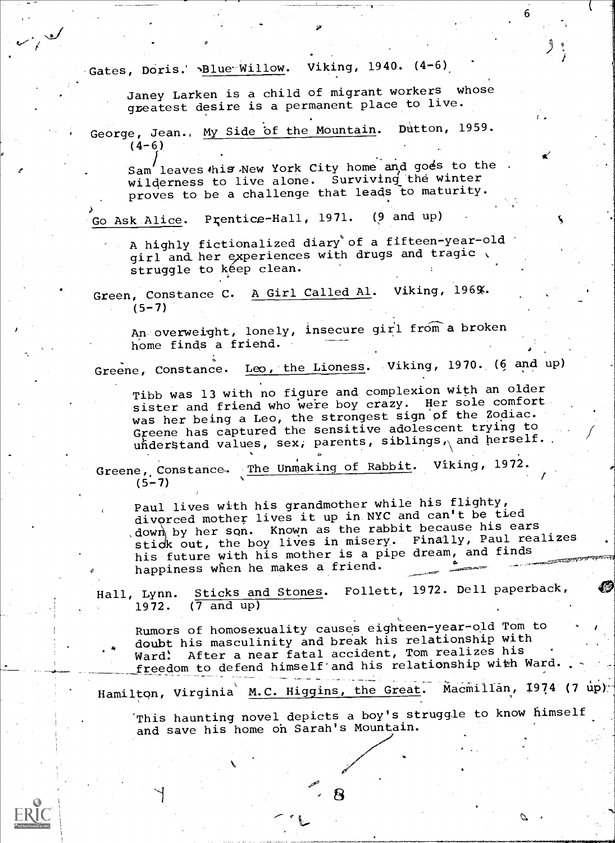Gates, Doris.' >Blue Willow. Viking, 1940. (4-6)

Janey Larken is a child of migrant workers whose greatest desire is a permanent place to live.

:\$0

George, Jean., My Side of the Mountain. Dutton, 1959.  $(4-6)$ 

Sam' leaves this New York City home and goes to the wilderness to live alone. Surviving the winter proves to be a challenge that leads to maturity.

Go Ask Alice. Prentice-Hall, 1971. (9 and up)

A highly fictionalized diary'of a fifteen-year-old girl and her experiences with drugs and tragic struggle to kéep clean.

Green, Constance C. A Girl Called Al. Viking, 196%.  $(5 - 7)$ 

An overweight, lonely, insecure girl from a broken home finds a friend.

Greene, Constance. Leo, the Lioness. Viking, 1970. (6 and up)

Tibb was 13 with no figure and complexion with an older sister and friend who were boy crazy. Her sole comfort was her being a Leo, the strongest sign of the Zodiac. Greene has captured the sensitive adolescent trying to understand values, sex, parents, siblings, and herself.

Greene, Constance. The Unmaking of Rabbit. Viking, 1972.  $(5-7)$ 

 $\sigma$  and  $\sigma$  and  $\sigma$ 

 $\sim$ 

Paul lives with his grandmother while his flighty, divorced mother lives it up in NYC and can't be tied ,dow by her son. Known as the rabbit because his ears stick out, the boy lives in misery. Finally, Paul realizes his future with his mother is a pipe dream, and finds<br>happiness when he makes a friend.

Hall, Lynn. Sticks and Stones. Follett, 1972. Dell paperback,<br>1972. (7 and up)  $(7 \text{ and } \text{up})$ 

RumorS of homosexuality causes eighteen-year-old Tom to doubt his masculinity and break his relationship with<br>A doubt his mass fatal accident Tom realizes his ward! After a near fatal accident, Tom realizes his freedom to defend himself'and his relationship with Ward.

Hamilton, Virginia M.C. Higgins, the Great. Macmillan, 1974 (7 up).

This haunting novel depicts a boy's struggle to know himself and save his home on Sarah's Mountain.

ន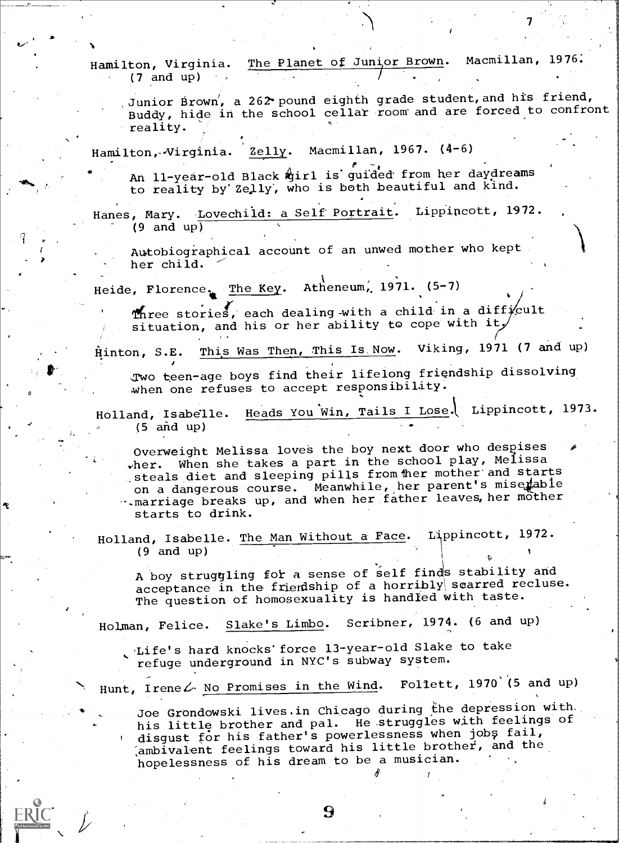Hamilton, Virginia. The Planet of Junior Brown. Macmillan, 1976.<br>(2 and up)  $(7 \text{ and } \text{up})$ 

Junior Brown', a 262 pound eighth grade student, and his friend, Buddy, hide in the school cellar room and are forced to confront reality.

Hamilton, Virginia. Zelly. Macmillan, 1967. (4-6)

An 11-year-old Black girl is guided from her daydreams to reality by Zelly, who is both beautiful and kind.

Hanes, Mary. Lovechild: a Self Portrait. Lippincott, 1972. (9 and up)

Autobiographical account of an unwed mother who kept her child.

Heide, Florence. The Key. Atheneum, 1971. (5-7)

p<sub>ro</sub>

Three stories, each dealing with a child in a difficult situation, and his or her ability to cope with it,

Hinton, S.E. This Was Then, This Is Now. Viking, 1971 (7 and up)

,Two teen-age boys find their, lifelong friendship dissolving when one refuses to accept responsibility.

Holland, Isabelle. Heads You Win, Tails I Lose. Lippincott, 1973.  $(5 \text{ and } \text{up})$ 

Overweight Melissa loves the boy next door who despises wher. When she takes a part in the school play, Melissa steals diet and sleeping pills from ther mother and starts on a dangerous course. Meanwhile, her parent's miserable -.,marriage breaks up, and when her father leaves, her mother starts to drink.

Holland, Isabelle. The Man Without a Face. Lippincott, 1972.  $(9 \text{ and } \text{up})$ <sup>1</sup> <sup>1</sup>

A boy struggling for a sense of self finds stability and acceptance in the friendship of a horribly scarred recluse. The question of homosexuality is handled with taste.

Holman, Felice. Slake's Limbo. Scribner, 1974. (6 and up)

Life's hard knocks force 13-year-old Slake to take refuge underground in NYC's subway system.

Hunt, Irene  $\mathcal{L}$ . No Promises in the Wind. Follett, 1970 (5 and up)

Joe Grondowski lives.in Chicago during the depression with. his little brother and pal. He struggles with feelings of disgust for his father's powerlessness when jobs fail,  $\alpha$  ambivalent feelings toward his little brother, and the hopelessness of his dream to be a musician.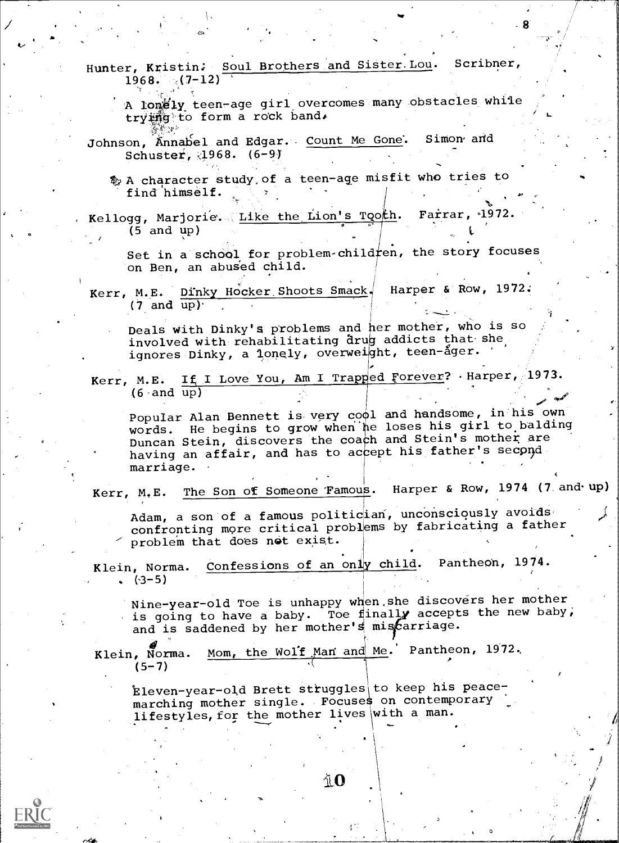Hunter, Kristin; Soul Brothers and Sister.Lou. Scribner,  $1968.$   $(7-12)$ 

%.

A lonely teen-age girl overcomes many obstacles while trying to form a rock band.

ot

8

Johnson, Annabel and Edgar. Count Me Gone. Simon and Schuster, 21968. (6-9)

A character study,of a teen-age misfit who tries to find himself.

Kellogg, Marjorie. <u>Like the Lion's Tooth</u>. Farrar, 1972. (5 and up)  $\sim$  Let  $\sim$ 

Set in a school for problem child  $r$ en, the story focuses on Ben, an abused child.

Kerr, M.E. Dinky Hocker Shoots Smack. Harper & Row, 1972.  $(7 \text{ and } \text{up})$ .

Deals with Dinky's problems and her mother, who is so involved with rehabilitating drug addicts that she ignores Dinky, a lonely, overweight, teen-ager.

Kerr, M.E. If I Love You, Am I Trapped Forever? .Harper, 1973.  $(6 \text{ and } \overline{\text{up}})$ 

Popular Alan Bennett is very cool and handsome, in his own words. He begins to grow when he loses his girl to balding Duncan Stein, discovers the coach and Stein's mother are having an affair, and has to accept his father's second marriage.

Kerr, M.E. The Son of Someone Tamous. Harper & Row, 1974 (7 and-up)

Adam, a son of a famous politician, unconsciously avoids confronting more critical probl ems by fabricating a father problem that does not exist.

Klein, Norma. Confessions of an only child. Pantheon, 1974.  $(3-5)$ 

Nine-year-old Toe is unhappy when she discovers her mother is going to have a baby. Toe finally accepts the new baby, and is saddened by her mother's miscarriage.

 $\blacksquare$ 

 $\mathbf{r}$  , where  $\mathbf{r}$ 

**,<br>مهر** 

Mom, the Wolf Man and Me.' Pantheon, 1972. Klein, Norma. ...  $(5 - 7)$ 

 ${\tt Eleven-year-old Brett \ strings}$  to keep his peacemarching mother single. Focuses on contemporary lifestyles, for the mother lives\with a man.

AO.

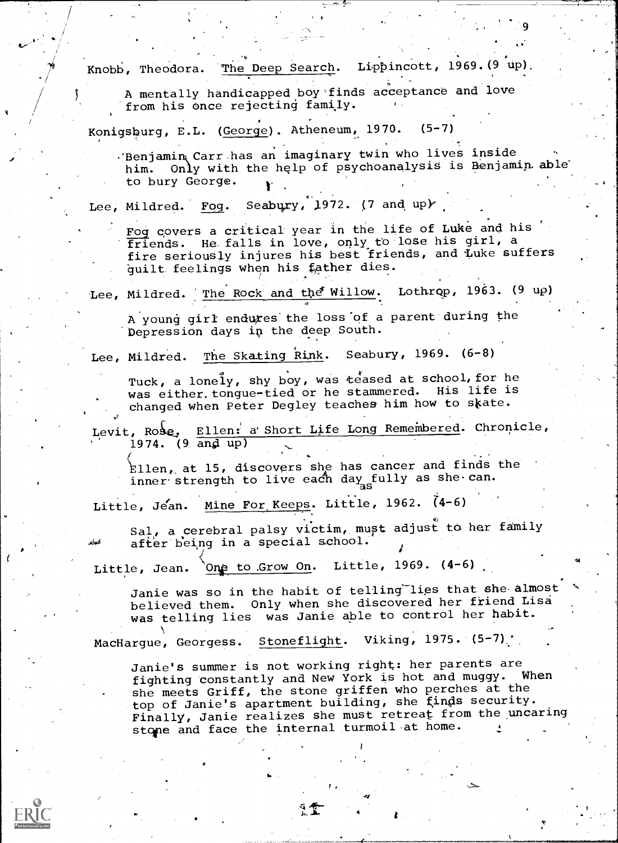Knobb, Theodora. The Deep Search. Lippincott, 1969. (9 up).

A mentally handicapped boy'finds acceptance and love from his once rejecting family.

Konigsburg, E.L. (George). Atheneum, 1970. (5-7)

.'Benjamin Carr has an imaginary twin who lives inside him. Only with the help of psychoanalysis is Benjamin able to bury George.

Lee, Mildred. Fog. Seabury, 1972. (7 and up)

Fog covers a critical year in the life of Luke and his friends. He falls in love, only to lose his girl, a fire seriously injures his best friends, and luke suffers  $\qquad \qquad \, .$ guilt. feelings when his father dies.

Lee, Mildred. The Rock and the Willow. Lothrop, 1963. (9 up)

A young girl endures'the loss "of a parent' during the Depression days in the deep South.

Lee, Mildred. The Skating Rink. Seabury, 1969. (6-8)

Tuck, a lonely, shy boy, was teased at school, for he was either. tongue-tied or he stammered. His life is changed when Peter Degley teaches him how to skate.

Levit, Rose, Ellen: a Short Life Long Remembered. Chronicle,  $1974.$  (9 and up)

Ellen, at 15, discovers she has cancer and finds the inner strength to live each day fully as she can.

Little, Jean. Mine For Keeps. Little, 1962. (4-6)

Sal, a cerebral palsy victim, must adjust to her family after being in a special school.

Little, Jean. `One to Grow On. Little, 1969. (4-6)

s.

Janie was so in the habit of telling lies that she almost believed them. Only when she discovered her friend Lisa was telling lies was Janie able to control her habit.

MacHargue, Georgess. Stoneflight. Viking, 1975. (5-7).

Janie's summer is not working right: her parents are fighting constantly and New York is hot and muggy. When she meets Griff, the stone griffen who perches at the top of Janie's apartment building, she finds security. Finally, Janie realizes she must retreat from the uncaring stone and face the internal turmoil at home.

r e c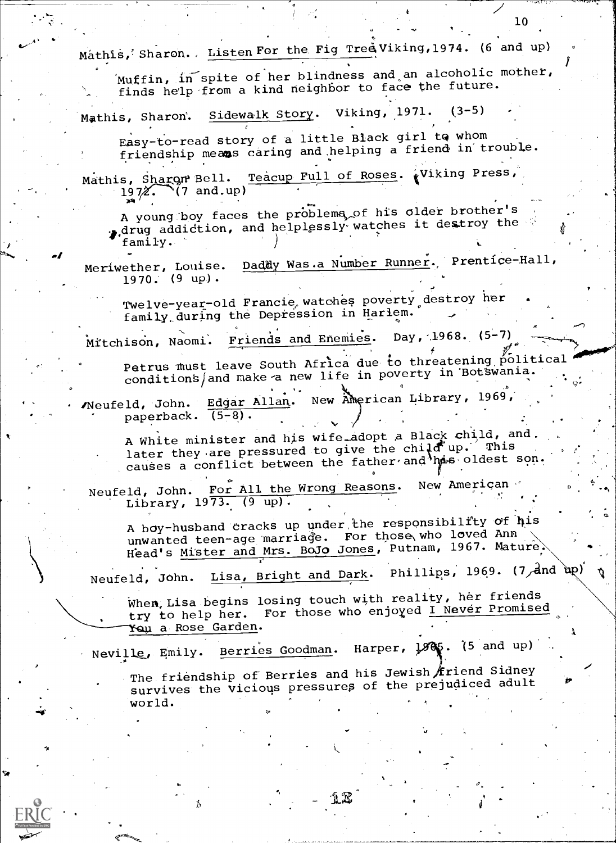Mathis, Sharon., Listen For the Fig Tree Viking, 1974. (6 and up) in spite of her blindness and an alcoholic mother,  $\left| \right|$ finds help from a kind neighbor to face the future. Mathis, Sharon'. Sidewalk Story. Viking, 1971. (3-5) Easy-to-read story of a little Black girl tg whom friendship means caring and helping a friend in trouble. Mathis, Sharon Bell. Teacup Full of Roses. (Viking Press,<br>1972. (7 and.up)  $(7 \text{ and } up)$ A young boy faces the problems of his older brother's , drug addiction, and helplessly watches it destroy the <code>family. $\;$ - </code> Meriwether, Louise. Dad&y Was a Number Runner. Prentice-Hall, when 1970.' (9 up) . Twelve-year-old Francie, watches poverty destroy her family during the Depression in Harlem. Mitchison, Naomi. Friends and Enemies. Day, 1968. (5-7) Petrus must leave South Africa due to threatening political conditions and make a new life in poverty in Bottwania. 9- Neufeld, John. Edgar Allan. New American Library, 1969, paperback.  $(5-8)$ . A White minister and his wife\_adopt a Black child, and. later they are pressured to give the child up. This rater they are pressured by  $\frac{1}{2}$  . The father and lines oldest son. Neufeld, John. For All the Wrong Reasons. New American Library, 1973. (9 up) . A boy-husband cracks up under the responsibility of his unwanted teen-age marriage. For those who loved Ann Head's Mister and Mrs. BoJo Jones, Putnam, 1967. Mature Neufeld, John. Lisa, Bright and Dark. Phillips, 1969. (7, and up) When, Lisa begins losing touch with reality, her friends try to help her. For those who enjoyed I Never Promised a Rose Garden. Neville, Emily. Berries Goodman. Harper, 1985. (5 and up) The friendship of Berries and his Jewish  $\oint$ riend Sidney survives the vicious pressures of the prejudiced adult world.

 $\frac{10}{10}$ 

.

10

12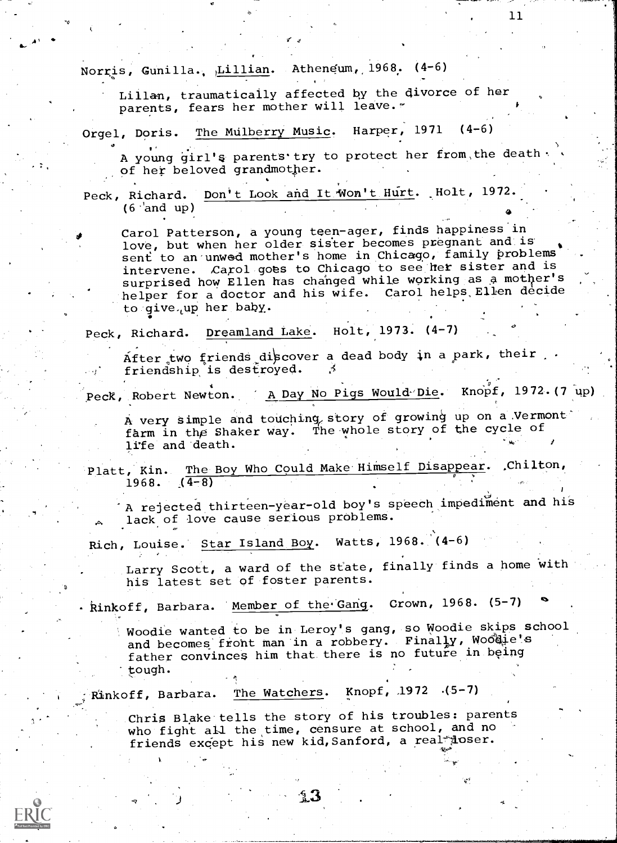Norris, Gunilla., Lillian. Atheneum, 1968. (4-6)

Lilian, traumatically affected by the divorce of her parents, fears her mother will leave.

Orgel, Doris. The Mulberry Music. Harper, 1971 (4-6)

A young girl's parents try to protect her from, the death of her beloved grandmother.

Peck, Richard. Don't Look and It Won't Hurt. Holt, 1972.  $(6$  and up) en andere de la provincia de la provincia de la provincia de la provincia de la provincia de la provincia del<br>En 1910, en 1910, en 1910, en 1910, en 1910, en 1910, en 1910, en 1910, en 1910, en 1910, en 1910, en 1910, en

Carol Patterson, a young teen-ager, finds happiness in love, but when her older sister becomes pregnant and is sent to an unwed mother's home in Chicago, family problems intervene. Carol goes to Chicago to see her sister and is surprised how Ellen has changed while working as a mother's helper for a doctor and his wife. Carol helps Ellen decide to give, up her baby.

Peck, Richard. Dreamland Lake. Holt, 1973. (4-7)

After two friends discover a dead body in a park, their .

Peck, Robert Newton. A Day No Pigs Would-Die. Knopf, 1972. (7 up)

A very simple and touching story of growing up on a Vermont farm in the Shaker way. Thewhole story of the cycle of life and death.  $\frac{1}{2}$  is the state of  $\frac{1}{2}$ .

Platt, Kin. 1968. The Boy Who Could Make Himself Disappear. Chilton,  $\overline{\phantom{a}}$  $(4-8)$ 

A rejected thirteen-year-old boy's speech impediment and his lack of love cause serious problems.

Rich, Louise. Star Island Boy. Watts, 1968. (4-6)

Larry Scott, a ward of the state, finally finds a home with his latest set of foster parents.

kinkoff, Barbara. 'Member of the Gang. Crown, 1968. (5-7)

Woodie wanted to be in Leroy's gang, so Woodie skips school and becomes front man in a robbery. Finally, Woodie's father convinces him that there is no future in being tough.

Rinkoff, Barbara. The Watchers. Knopf, 1972 (5-7)

Chris Blake tells the story of his troubles: parents who fight all the time, censure at school, and no friends except his new kid, Sanford, a real doser.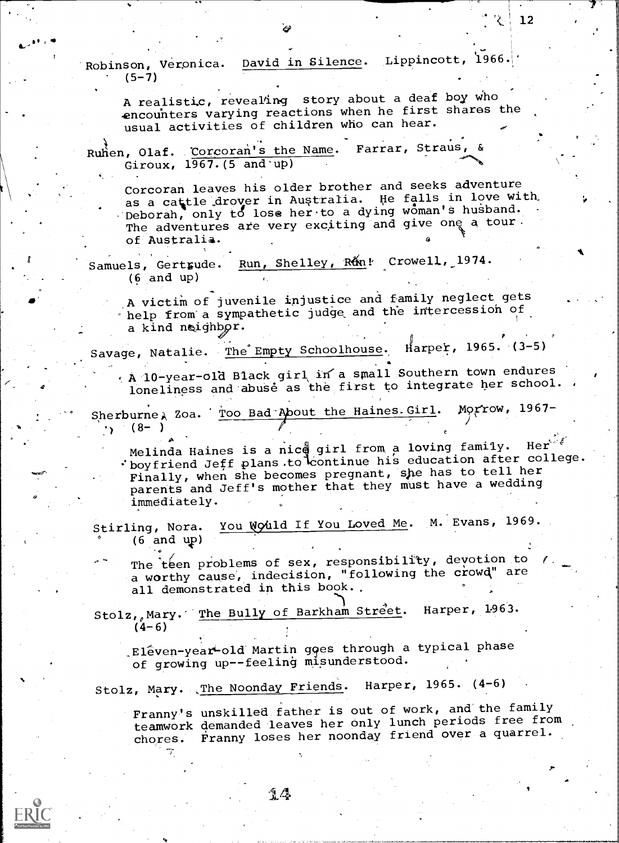Robinson, Veronica. David in Silence. Lippincott, 1966.  $(5-7)$ 

A realistic, revealing story about a deaf boy who -encounters varying reactions when he first shares the usual activities of children who can hear.

Ruhen, Olaf. Corcoran's the Name. Farrar, Straus, & Giroux,  $1967.$  (5 and up)

Corcoran leaves his older brother and seeks adventure as a cattle drover in Australia. He falls in love with, Deborah, only to lose her to a dying woman's husband. The adventures are very exciting and give one a tour. of Australia.

Samuels, Gertrude. Run, Shelley, Run! Crowell, 1974. (6 and up)

.A victim of juvenile injustice and family neglect gets help from'a sympathetic judge, and the intercession of a kind neighbor.

Savage, Natalie. The Empty Schoolhouse. Harper, 1965. (3-5)

A 10-year-old Black girl in a small Southern town endures ... loneliness and 'abuse as the first to integrate her school.

Sherburne Roa. Too Bad-About the Haines. Girl. Morrow, 1967- $\cdot$ , (8- ) for  $\ell$  for  $\ell$ 

Melinda Haines is a nice girl from a loving family. Here  $\hat{f}$ : hoyfriend Jeff plans.to continue his education after college. Finally, when she becomes pregnant, she has to tell her parents and Jeff's mother that they must have a wedding immediately.

Stirling, Nora. You Would If You Loved Me. M. Evans, 1969.  $\Omega$  and  $\Omega$ (6 and up)

The teen problems of sex, responsibility, devotion to () + a worthy cause, indecision, "following the crowd" are all demonstrated in this book..

Stolz, Mary. The Bully of Barkham Street. Harper, 1963.  $(4-6)$ 

.Eleven-year-old Martin goes through a typical phase of growing up--feeling misunderstood.

Stolz, Mary. The Noonday Friends. Harper, 1965. (4-6)

Franny's unskilled father is out of work, and the family teamwork demanded leaves her only lunch periods free from chores. Franny loses her noonday friend over a quarrel.

 $14$ 



,

 $\boldsymbol{a}$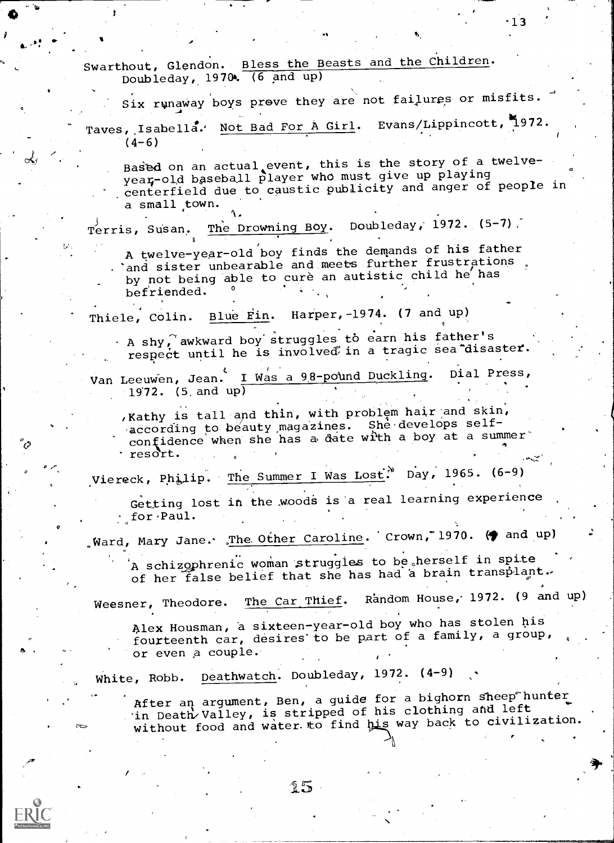Swarthout, Glendon. Bless the Beasts and the Children. Doubleday, 1970. (6 and up)

 $\mathbf{I}$ 

 $\circ$   $\circ$   $\circ$ 

Six runaway boys prove they are not failures or misfits. Taves, Isabella. Not Bad For A Girl. Evans/Lippincott, 1972.  $(4-6)$ 

Based on an actual event, this is the story of a twelveyear-old baseball player who must give up playing centerfield due to caustic publicity and anger of people in a small town.

Terris, Susan. The Drowning Boy. Doubleday, 1972. (5-7).

A twelve-year-old boy finds the demands of his father and sister unbearable and meets further frustrations. by not being able to cure an autistic child he has befriended.

Thiele, Colin. Blue Fin. Harper, -1974. (7 and up)

1.

.

A shy $\int$  awkward boy struggles to earn his father's respect until he is involved in a tragic sea disaster.

Van Leeuwen, Jean. <u>I Was a 98-pound Duckling</u>. Dial Press,  $19'72.$  (5. and up)

, Kathy is tall and thin, with problem hair and skin, according to beauty magazines. She develops selfconfidence when she has a date with a boy at a summer resort.

Viereck, Philip. The Summer I Was Lost. Day, 1965. (6-9)

Getting lost in the woods is a real learning experience for-Paul.

 $\mathcal{G}$  ward, Mary Jane. <u>The Other Caroline</u>. Crown, 1970. ( $\blacklozenge$  and up)

A schizophrenic woman struggles to be herself in spite of her false belief that she has had a brain transplant.

Weesner, Theodore. The Car Thief. Random House, 1972. (9 and up)

Alex Housman, a sixteen-year-old boy who has stolen his fourteenth car, desires'to be part of a family, a group, or even a couple.

White, Robb. Deathwatch. Doubleday, 1972. (4-9)

After an argument, Ben, a guide for a bighorn sheep hunter in Death Valley, is stripped of his clothing and left. without food and water to find his way back to civilization.

-13